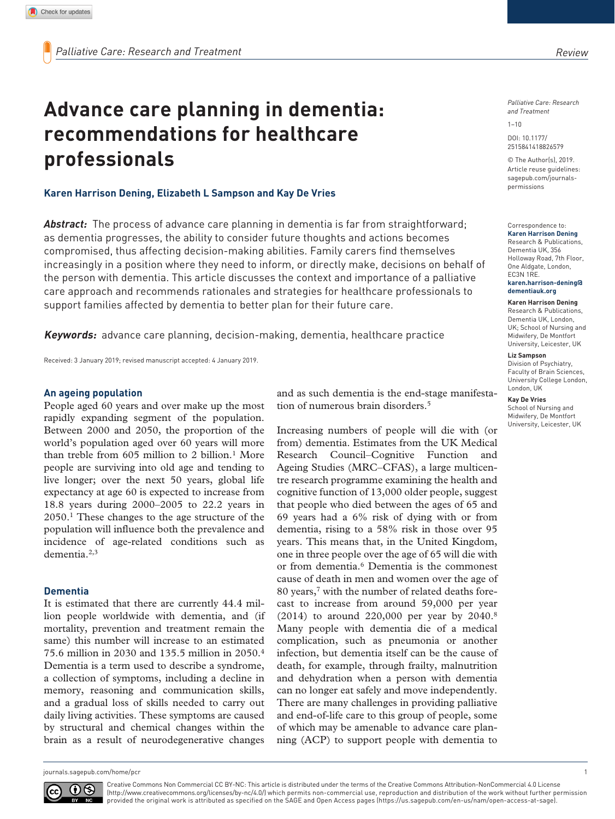# **Advance care planning in dementia: recommendations for healthcare professionals**

#### **Karen Harrison Dening, Elizabeth L Sampson and Kay De Vries**

*Abstract:* The process of advance care planning in dementia is far from straightforward; as dementia progresses, the ability to consider future thoughts and actions becomes compromised, thus affecting decision-making abilities. Family carers find themselves increasingly in a position where they need to inform, or directly make, decisions on behalf of the person with dementia. This article discusses the context and importance of a palliative care approach and recommends rationales and strategies for healthcare professionals to support families affected by dementia to better plan for their future care.

**Keywords:** advance care planning, decision-making, dementia, healthcare practice

Received: 3 January 2019; revised manuscript accepted: 4 January 2019.

#### **An ageing population**

People aged 60 years and over make up the most rapidly expanding segment of the population. Between 2000 and 2050, the proportion of the world's population aged over 60 years will more than treble from 605 million to 2 billion.1 More people are surviving into old age and tending to live longer; over the next 50 years, global life expectancy at age 60 is expected to increase from 18.8 years during 2000–2005 to 22.2 years in 2050.1 These changes to the age structure of the population will influence both the prevalence and incidence of age-related conditions such as dementia.2,3

#### **Dementia**

It is estimated that there are currently 44.4 million people worldwide with dementia, and (if mortality, prevention and treatment remain the same) this number will increase to an estimated 75.6 million in 2030 and 135.5 million in 2050.4 Dementia is a term used to describe a syndrome, a collection of symptoms, including a decline in memory, reasoning and communication skills, and a gradual loss of skills needed to carry out daily living activities. These symptoms are caused by structural and chemical changes within the brain as a result of neurodegenerative changes

and as such dementia is the end-stage manifestation of numerous brain disorders.5

Increasing numbers of people will die with (or from) dementia. Estimates from the UK Medical Research Council–Cognitive Function and Ageing Studies (MRC–CFAS), a large multicentre research programme examining the health and cognitive function of 13,000 older people, suggest that people who died between the ages of 65 and 69 years had a 6% risk of dying with or from dementia, rising to a 58% risk in those over 95 years. This means that, in the United Kingdom, one in three people over the age of 65 will die with or from dementia.6 Dementia is the commonest cause of death in men and women over the age of 80 years,7 with the number of related deaths forecast to increase from around 59,000 per year (2014) to around 220,000 per year by 2040.8 Many people with dementia die of a medical complication, such as pneumonia or another infection, but dementia itself can be the cause of death, for example, through frailty, malnutrition and dehydration when a person with dementia can no longer eat safely and move independently. There are many challenges in providing palliative and end-of-life care to this group of people, some of which may be amenable to advance care planning (ACP) to support people with dementia to

*Palliative Care: Research and Treatment*

 $1 - 10$ 

[DOI: 10.1177/](https://doi.org/10.1177/2515841418826579) [2515841418826579](https://doi.org/10.1177/2515841418826579)

© The Author(s), 2019. Article reuse guidelines: [sagepub.com/journals](https://uk.sagepub.com/en-gb/journals-permissions)[permissions](https://uk.sagepub.com/en-gb/journals-permissions)

#### Correspondence to:

**Karen Harrison Dening** Research & Publications, Dementia UK, 356 Holloway Road, 7th Floor, One Aldgate, London, EC3N 1RE.

#### **[karen.harrison-dening@](mailto:karen.harrison-dening@dementiauk.org) [dementiauk.org](mailto:karen.harrison-dening@dementiauk.org)**

**Karen Harrison Dening** Research & Publications, Dementia UK, London, UK; School of Nursing and Midwifery, De Montfort University, Leicester, UK

#### **Liz Sampson**

Division of Psychiatry, Faculty of Brain Sciences, University College London, London, UK

#### **Kay De Vries**

School of Nursing and Midwifery, De Montfort University, Leicester, UK

[journals.sagepub.com/home/pcr](http://journals.sagepub.com/home/pcr) 1



Creative Commons Non Commercial CC BY-NC: This article is distributed under the terms of the Creative Commons Attribution-NonCommercial 4.0 License (http://www.creativecommons.org/licenses/by-nc/4.0/) which permits non-commercial use, reproduction and distribution of the work without further permission provided the original work is attributed as specified on the SAGE and Open Access pages (https://us.sagepub.com/en-us/nam/open-access-at-sage).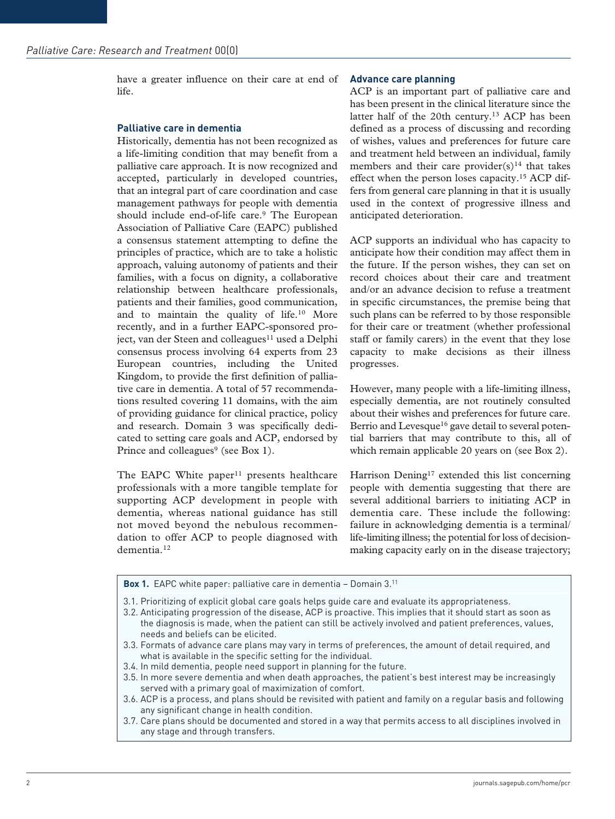have a greater influence on their care at end of life.

#### **Palliative care in dementia**

Historically, dementia has not been recognized as a life-limiting condition that may benefit from a palliative care approach. It is now recognized and accepted, particularly in developed countries, that an integral part of care coordination and case management pathways for people with dementia should include end-of-life care.<sup>9</sup> The European Association of Palliative Care (EAPC) published a consensus statement attempting to define the principles of practice, which are to take a holistic approach, valuing autonomy of patients and their families, with a focus on dignity, a collaborative relationship between healthcare professionals, patients and their families, good communication, and to maintain the quality of life.10 More recently, and in a further EAPC-sponsored project, van der Steen and colleagues<sup>11</sup> used a Delphi consensus process involving 64 experts from 23 European countries, including the United Kingdom, to provide the first definition of palliative care in dementia. A total of 57 recommendations resulted covering 11 domains, with the aim of providing guidance for clinical practice, policy and research. Domain 3 was specifically dedicated to setting care goals and ACP, endorsed by Prince and colleagues<sup>9</sup> (see Box 1).

The EAPC White paper<sup>11</sup> presents healthcare professionals with a more tangible template for supporting ACP development in people with dementia, whereas national guidance has still not moved beyond the nebulous recommendation to offer ACP to people diagnosed with dementia.12

#### **Advance care planning**

ACP is an important part of palliative care and has been present in the clinical literature since the latter half of the 20th century.13 ACP has been defined as a process of discussing and recording of wishes, values and preferences for future care and treatment held between an individual, family members and their care provider $(s)$ <sup>14</sup> that takes effect when the person loses capacity.15 ACP differs from general care planning in that it is usually used in the context of progressive illness and anticipated deterioration.

ACP supports an individual who has capacity to anticipate how their condition may affect them in the future. If the person wishes, they can set on record choices about their care and treatment and/or an advance decision to refuse a treatment in specific circumstances, the premise being that such plans can be referred to by those responsible for their care or treatment (whether professional staff or family carers) in the event that they lose capacity to make decisions as their illness progresses.

However, many people with a life-limiting illness, especially dementia, are not routinely consulted about their wishes and preferences for future care. Berrio and Levesque<sup>16</sup> gave detail to several potential barriers that may contribute to this, all of which remain applicable 20 years on (see Box 2).

Harrison Dening<sup>17</sup> extended this list concerning people with dementia suggesting that there are several additional barriers to initiating ACP in dementia care. These include the following: failure in acknowledging dementia is a terminal/ life-limiting illness; the potential for loss of decisionmaking capacity early on in the disease trajectory;

**Box 1.** EAPC white paper: palliative care in dementia - Domain 3.<sup>11</sup>

3.1. Prioritizing of explicit global care goals helps guide care and evaluate its appropriateness.

<sup>3.2.</sup> Anticipating progression of the disease, ACP is proactive. This implies that it should start as soon as the diagnosis is made, when the patient can still be actively involved and patient preferences, values, needs and beliefs can be elicited.

<sup>3.3.</sup> Formats of advance care plans may vary in terms of preferences, the amount of detail required, and what is available in the specific setting for the individual.

<sup>3.4.</sup> In mild dementia, people need support in planning for the future.

<sup>3.5.</sup> In more severe dementia and when death approaches, the patient's best interest may be increasingly served with a primary goal of maximization of comfort.

<sup>3.6.</sup> ACP is a process, and plans should be revisited with patient and family on a regular basis and following any significant change in health condition.

<sup>3.7.</sup> Care plans should be documented and stored in a way that permits access to all disciplines involved in any stage and through transfers.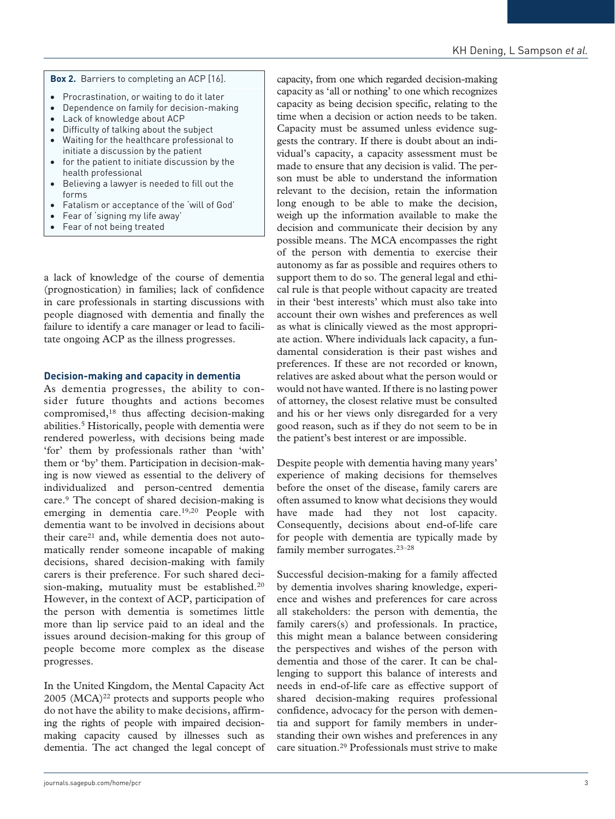**Box 2.** Barriers to completing an ACP [16].

- Procrastination, or waiting to do it later
- Dependence on family for decision-making
- Lack of knowledge about ACP
- Difficulty of talking about the subject
- Waiting for the healthcare professional to initiate a discussion by the patient
- for the patient to initiate discussion by the health professional
- Believing a lawyer is needed to fill out the forms
- Fatalism or acceptance of the 'will of God'
- Fear of 'signing my life away'
- Fear of not being treated

a lack of knowledge of the course of dementia (prognostication) in families; lack of confidence in care professionals in starting discussions with people diagnosed with dementia and finally the failure to identify a care manager or lead to facilitate ongoing ACP as the illness progresses.

#### **Decision-making and capacity in dementia**

As dementia progresses, the ability to consider future thoughts and actions becomes compromised,18 thus affecting decision-making abilities.5 Historically, people with dementia were rendered powerless, with decisions being made 'for' them by professionals rather than 'with' them or 'by' them. Participation in decision-making is now viewed as essential to the delivery of individualized and person-centred dementia care.9 The concept of shared decision-making is emerging in dementia care.<sup>19,20</sup> People with dementia want to be involved in decisions about their care<sup>21</sup> and, while dementia does not automatically render someone incapable of making decisions, shared decision-making with family carers is their preference. For such shared decision-making, mutuality must be established.<sup>20</sup> However, in the context of ACP, participation of the person with dementia is sometimes little more than lip service paid to an ideal and the issues around decision-making for this group of people become more complex as the disease progresses.

In the United Kingdom, the Mental Capacity Act  $2005$  (MCA)<sup>22</sup> protects and supports people who do not have the ability to make decisions, affirming the rights of people with impaired decisionmaking capacity caused by illnesses such as dementia. The act changed the legal concept of capacity, from one which regarded decision-making capacity as 'all or nothing' to one which recognizes capacity as being decision specific, relating to the time when a decision or action needs to be taken. Capacity must be assumed unless evidence suggests the contrary. If there is doubt about an individual's capacity, a capacity assessment must be made to ensure that any decision is valid. The person must be able to understand the information relevant to the decision, retain the information long enough to be able to make the decision, weigh up the information available to make the decision and communicate their decision by any possible means. The MCA encompasses the right of the person with dementia to exercise their autonomy as far as possible and requires others to support them to do so. The general legal and ethical rule is that people without capacity are treated in their 'best interests' which must also take into account their own wishes and preferences as well as what is clinically viewed as the most appropriate action. Where individuals lack capacity, a fundamental consideration is their past wishes and preferences. If these are not recorded or known, relatives are asked about what the person would or would not have wanted. If there is no lasting power of attorney, the closest relative must be consulted and his or her views only disregarded for a very good reason, such as if they do not seem to be in the patient's best interest or are impossible.

Despite people with dementia having many years' experience of making decisions for themselves before the onset of the disease, family carers are often assumed to know what decisions they would have made had they not lost capacity. Consequently, decisions about end-of-life care for people with dementia are typically made by family member surrogates.23–28

Successful decision-making for a family affected by dementia involves sharing knowledge, experience and wishes and preferences for care across all stakeholders: the person with dementia, the family carers(s) and professionals. In practice, this might mean a balance between considering the perspectives and wishes of the person with dementia and those of the carer. It can be challenging to support this balance of interests and needs in end-of-life care as effective support of shared decision-making requires professional confidence, advocacy for the person with dementia and support for family members in understanding their own wishes and preferences in any care situation.29 Professionals must strive to make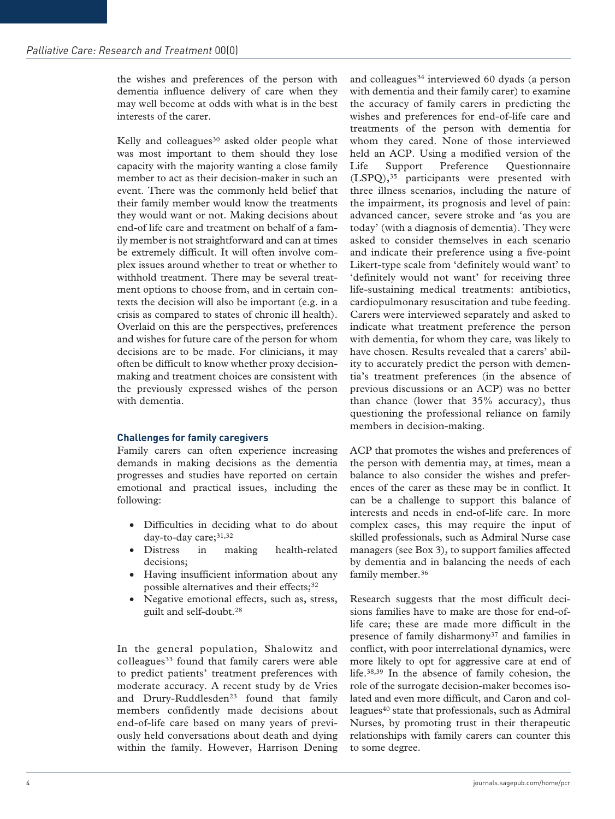the wishes and preferences of the person with dementia influence delivery of care when they may well become at odds with what is in the best interests of the carer.

Kelly and colleagues<sup>30</sup> asked older people what was most important to them should they lose capacity with the majority wanting a close family member to act as their decision-maker in such an event. There was the commonly held belief that their family member would know the treatments they would want or not. Making decisions about end-of life care and treatment on behalf of a family member is not straightforward and can at times be extremely difficult. It will often involve complex issues around whether to treat or whether to withhold treatment. There may be several treatment options to choose from, and in certain contexts the decision will also be important (e.g. in a crisis as compared to states of chronic ill health). Overlaid on this are the perspectives, preferences and wishes for future care of the person for whom decisions are to be made. For clinicians, it may often be difficult to know whether proxy decisionmaking and treatment choices are consistent with the previously expressed wishes of the person with dementia.

## **Challenges for family caregivers**

Family carers can often experience increasing demands in making decisions as the dementia progresses and studies have reported on certain emotional and practical issues, including the following:

- Difficulties in deciding what to do about day-to-day care;<sup>31,32</sup>
- Distress in making health-related decisions;
- Having insufficient information about any possible alternatives and their effects;<sup>32</sup>
- Negative emotional effects, such as, stress, guilt and self-doubt.28

In the general population, Shalowitz and colleagues<sup>33</sup> found that family carers were able to predict patients' treatment preferences with moderate accuracy. A recent study by de Vries and Drury-Ruddlesden<sup>23</sup> found that family members confidently made decisions about end-of-life care based on many years of previously held conversations about death and dying within the family. However, Harrison Dening

and colleagues<sup>34</sup> interviewed 60 dyads (a person with dementia and their family carer) to examine the accuracy of family carers in predicting the wishes and preferences for end-of-life care and treatments of the person with dementia for whom they cared. None of those interviewed held an ACP. Using a modified version of the Life Support Preference Questionnaire (LSPQ),35 participants were presented with three illness scenarios, including the nature of the impairment, its prognosis and level of pain: advanced cancer, severe stroke and 'as you are today' (with a diagnosis of dementia). They were asked to consider themselves in each scenario and indicate their preference using a five-point Likert-type scale from 'definitely would want' to 'definitely would not want' for receiving three life-sustaining medical treatments: antibiotics, cardiopulmonary resuscitation and tube feeding. Carers were interviewed separately and asked to indicate what treatment preference the person with dementia, for whom they care, was likely to have chosen. Results revealed that a carers' ability to accurately predict the person with dementia's treatment preferences (in the absence of previous discussions or an ACP) was no better than chance (lower that 35% accuracy), thus questioning the professional reliance on family members in decision-making.

ACP that promotes the wishes and preferences of the person with dementia may, at times, mean a balance to also consider the wishes and preferences of the carer as these may be in conflict. It can be a challenge to support this balance of interests and needs in end-of-life care. In more complex cases, this may require the input of skilled professionals, such as Admiral Nurse case managers (see Box 3), to support families affected by dementia and in balancing the needs of each family member.<sup>36</sup>

Research suggests that the most difficult decisions families have to make are those for end-oflife care; these are made more difficult in the presence of family disharmony<sup>37</sup> and families in conflict, with poor interrelational dynamics, were more likely to opt for aggressive care at end of life.38,39 In the absence of family cohesion, the role of the surrogate decision-maker becomes isolated and even more difficult, and Caron and colleagues<sup>40</sup> state that professionals, such as Admiral Nurses, by promoting trust in their therapeutic relationships with family carers can counter this to some degree.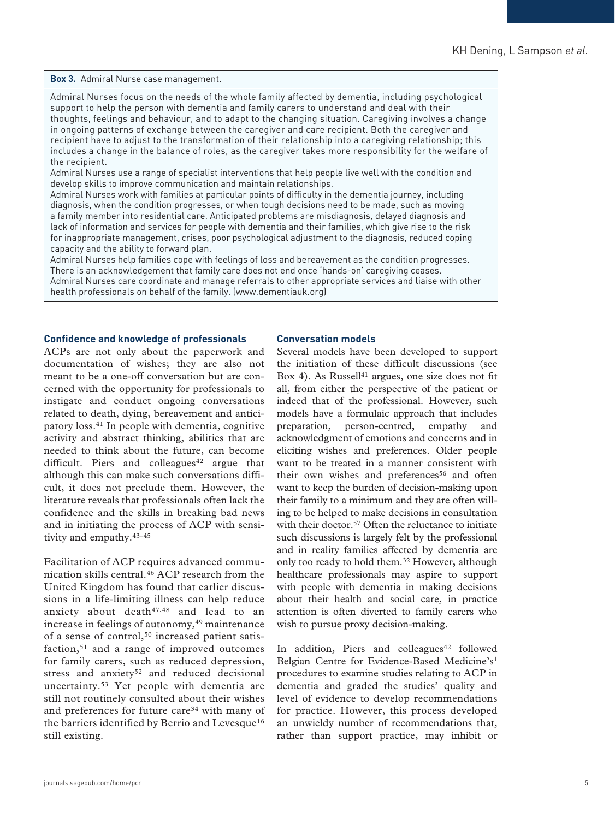**Box 3.** Admiral Nurse case management.

Admiral Nurses focus on the needs of the whole family affected by dementia, including psychological support to help the person with dementia and family carers to understand and deal with their thoughts, feelings and behaviour, and to adapt to the changing situation. Caregiving involves a change in ongoing patterns of exchange between the caregiver and care recipient. Both the caregiver and recipient have to adjust to the transformation of their relationship into a caregiving relationship; this includes a change in the balance of roles, as the caregiver takes more responsibility for the welfare of the recipient.

Admiral Nurses use a range of specialist interventions that help people live well with the condition and develop skills to improve communication and maintain relationships.

Admiral Nurses work with families at particular points of difficulty in the dementia journey, including diagnosis, when the condition progresses, or when tough decisions need to be made, such as moving a family member into residential care. Anticipated problems are misdiagnosis, delayed diagnosis and lack of information and services for people with dementia and their families, which give rise to the risk for inappropriate management, crises, poor psychological adjustment to the diagnosis, reduced coping capacity and the ability to forward plan.

Admiral Nurses help families cope with feelings of loss and bereavement as the condition progresses. There is an acknowledgement that family care does not end once 'hands-on' caregiving ceases. Admiral Nurses care coordinate and manage referrals to other appropriate services and liaise with other health professionals on behalf of the family. [\(www.dementiauk.org\)](http://www.dementiauk.org)

## **Confidence and knowledge of professionals**

ACPs are not only about the paperwork and documentation of wishes; they are also not meant to be a one-off conversation but are concerned with the opportunity for professionals to instigate and conduct ongoing conversations related to death, dying, bereavement and anticipatory loss.41 In people with dementia, cognitive activity and abstract thinking, abilities that are needed to think about the future, can become difficult. Piers and colleagues<sup> $42$ </sup> argue that although this can make such conversations difficult, it does not preclude them. However, the literature reveals that professionals often lack the confidence and the skills in breaking bad news and in initiating the process of ACP with sensitivity and empathy.43–45

Facilitation of ACP requires advanced communication skills central.46 ACP research from the United Kingdom has found that earlier discussions in a life-limiting illness can help reduce anxiety about death $47,48$  and lead to an increase in feelings of autonomy, $49$  maintenance of a sense of control,<sup>50</sup> increased patient satisfaction,51 and a range of improved outcomes for family carers, such as reduced depression, stress and anxiety<sup>52</sup> and reduced decisional uncertainty.53 Yet people with dementia are still not routinely consulted about their wishes and preferences for future care<sup>34</sup> with many of the barriers identified by Berrio and Levesque<sup>16</sup> still existing.

## **Conversation models**

Several models have been developed to support the initiation of these difficult discussions (see Box 4). As Russell<sup>41</sup> argues, one size does not fit all, from either the perspective of the patient or indeed that of the professional. However, such models have a formulaic approach that includes preparation, person-centred, empathy and acknowledgment of emotions and concerns and in eliciting wishes and preferences. Older people want to be treated in a manner consistent with their own wishes and preferences<sup>56</sup> and often want to keep the burden of decision-making upon their family to a minimum and they are often willing to be helped to make decisions in consultation with their doctor.<sup>57</sup> Often the reluctance to initiate such discussions is largely felt by the professional and in reality families affected by dementia are only too ready to hold them.<sup>32</sup> However, although healthcare professionals may aspire to support with people with dementia in making decisions about their health and social care, in practice attention is often diverted to family carers who wish to pursue proxy decision-making.

In addition, Piers and colleagues $42$  followed Belgian Centre for Evidence-Based Medicine's1 procedures to examine studies relating to ACP in dementia and graded the studies' quality and level of evidence to develop recommendations for practice. However, this process developed an unwieldy number of recommendations that, rather than support practice, may inhibit or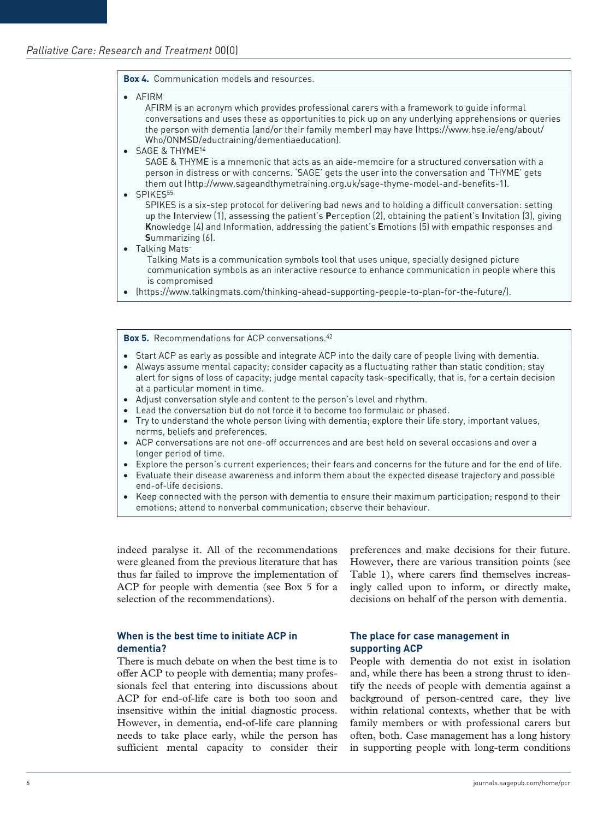**Box 4.** Communication models and resources.

• AFIRM

 AFIRM is an acronym which provides professional carers with a framework to guide informal conversations and uses these as opportunities to pick up on any underlying apprehensions or queries the person with dementia (and/or their family member) may have ([https://www.hse.ie/eng/about/](https://www.hse.ie/eng/about/Who/ONMSD/eductraining/dementiaeducation) [Who/ONMSD/eductraining/dementiaeducation](https://www.hse.ie/eng/about/Who/ONMSD/eductraining/dementiaeducation)).

SAGE & THYME<sup>54</sup>

 SAGE & THYME is a mnemonic that acts as an aide-memoire for a structured conversation with a person in distress or with concerns. 'SAGE' gets the user into the conversation and 'THYME' gets them out [\(http://www.sageandthymetraining.org.uk/sage-thyme-model-and-benefits-1](http://www.sageandthymetraining.org.uk/sage-thyme-model-and-benefits-1)).

#### • SPIKES55

 SPIKES is a six-step protocol for delivering bad news and to holding a difficult conversation: setting up the **I**nterview (1), assessing the patient's **P**erception (2), obtaining the patient's **I**nvitation (3), giving **K**nowledge (4) and Information, addressing the patient's **E**motions (5) with empathic responses and **S**ummarizing (6).

• Talking Mats–

 Talking Mats is a communication symbols tool that uses unique, specially designed picture communication symbols as an interactive resource to enhance communication in people where this is compromised

• [\(https://www.talkingmats.com/thinking-ahead-supporting-people-to-plan-for-the-future/](https://www.talkingmats.com/thinking-ahead-supporting-people-to-plan-for-the-future/)).

**Box 5.** Recommendations for ACP conversations.<sup>42</sup>

- Start ACP as early as possible and integrate ACP into the daily care of people living with dementia.
- Always assume mental capacity; consider capacity as a fluctuating rather than static condition; stay alert for signs of loss of capacity; judge mental capacity task-specifically, that is, for a certain decision at a particular moment in time.
- Adjust conversation style and content to the person's level and rhythm.
- Lead the conversation but do not force it to become too formulaic or phased.
- Try to understand the whole person living with dementia; explore their life story, important values, norms, beliefs and preferences.
- ACP conversations are not one-off occurrences and are best held on several occasions and over a longer period of time.
- Explore the person's current experiences; their fears and concerns for the future and for the end of life.
- Evaluate their disease awareness and inform them about the expected disease trajectory and possible end-of-life decisions.
- Keep connected with the person with dementia to ensure their maximum participation; respond to their emotions; attend to nonverbal communication; observe their behaviour.

indeed paralyse it. All of the recommendations were gleaned from the previous literature that has thus far failed to improve the implementation of ACP for people with dementia (see Box 5 for a selection of the recommendations).

## **When is the best time to initiate ACP in dementia?**

There is much debate on when the best time is to offer ACP to people with dementia; many professionals feel that entering into discussions about ACP for end-of-life care is both too soon and insensitive within the initial diagnostic process. However, in dementia, end-of-life care planning needs to take place early, while the person has sufficient mental capacity to consider their

preferences and make decisions for their future. However, there are various transition points (see Table 1), where carers find themselves increasingly called upon to inform, or directly make, decisions on behalf of the person with dementia.

#### **The place for case management in supporting ACP**

People with dementia do not exist in isolation and, while there has been a strong thrust to identify the needs of people with dementia against a background of person-centred care, they live within relational contexts, whether that be with family members or with professional carers but often, both. Case management has a long history in supporting people with long-term conditions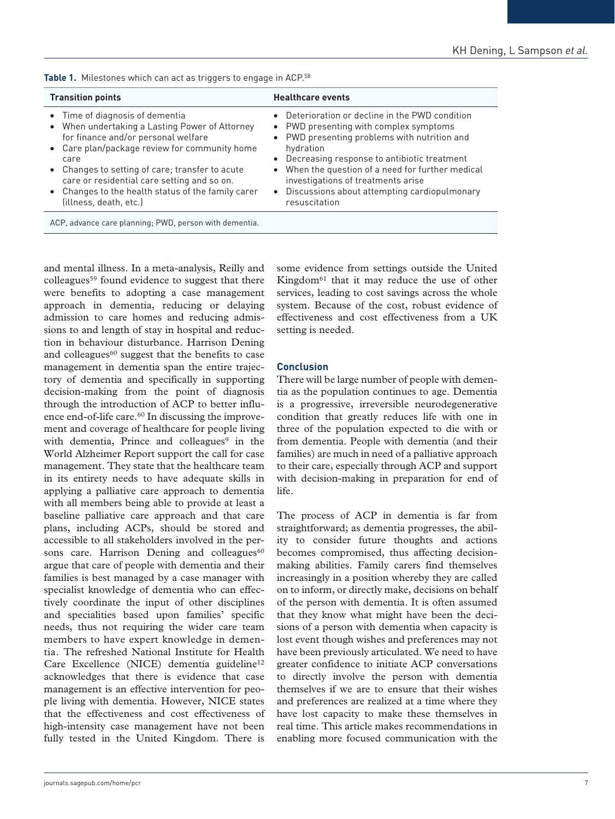| Table 1. Milestones which can act as triggers to engage in ACP. <sup>58</sup> |  |  |
|-------------------------------------------------------------------------------|--|--|
|-------------------------------------------------------------------------------|--|--|

| <b>Transition points</b>                                                                                                                                                                                                                                                                                                                                        | <b>Healthcare events</b>                                                                                                                                                                                                                                                                                                                                              |
|-----------------------------------------------------------------------------------------------------------------------------------------------------------------------------------------------------------------------------------------------------------------------------------------------------------------------------------------------------------------|-----------------------------------------------------------------------------------------------------------------------------------------------------------------------------------------------------------------------------------------------------------------------------------------------------------------------------------------------------------------------|
| • Time of diagnosis of dementia<br>When undertaking a Lasting Power of Attorney<br>for finance and/or personal welfare<br>• Care plan/package review for community home<br>care<br>Changes to setting of care; transfer to acute<br>care or residential care setting and so on.<br>• Changes to the health status of the family carer<br>(illness, death, etc.) | • Deterioration or decline in the PWD condition<br>• PWD presenting with complex symptoms<br>• PWD presenting problems with nutrition and<br>hydration<br>• Decreasing response to antibiotic treatment<br>• When the question of a need for further medical<br>investigations of treatments arise<br>• Discussions about attempting cardiopulmonary<br>resuscitation |
| ACP, advance care planning; PWD, person with dementia.                                                                                                                                                                                                                                                                                                          |                                                                                                                                                                                                                                                                                                                                                                       |

and mental illness. In a meta-analysis, Reilly and colleagues<sup>59</sup> found evidence to suggest that there were benefits to adopting a case management approach in dementia, reducing or delaying admission to care homes and reducing admissions to and length of stay in hospital and reduction in behaviour disturbance. Harrison Dening and colleagues $60$  suggest that the benefits to case management in dementia span the entire trajectory of dementia and specifically in supporting decision-making from the point of diagnosis through the introduction of ACP to better influence end-of-life care.<sup>60</sup> In discussing the improvement and coverage of healthcare for people living with dementia, Prince and colleagues $9$  in the World Alzheimer Report support the call for case management. They state that the healthcare team in its entirety needs to have adequate skills in applying a palliative care approach to dementia with all members being able to provide at least a baseline palliative care approach and that care plans, including ACPs, should be stored and accessible to all stakeholders involved in the persons care. Harrison Dening and colleagues<sup>60</sup> argue that care of people with dementia and their families is best managed by a case manager with specialist knowledge of dementia who can effectively coordinate the input of other disciplines and specialities based upon families' specific needs, thus not requiring the wider care team members to have expert knowledge in dementia. The refreshed National Institute for Health Care Excellence (NICE) dementia guideline<sup>12</sup> acknowledges that there is evidence that case management is an effective intervention for people living with dementia. However, NICE states that the effectiveness and cost effectiveness of high-intensity case management have not been fully tested in the United Kingdom. There is

some evidence from settings outside the United Kingdom $61$  that it may reduce the use of other services, leading to cost savings across the whole system. Because of the cost, robust evidence of effectiveness and cost effectiveness from a UK setting is needed.

#### **Conclusion**

There will be large number of people with dementia as the population continues to age. Dementia is a progressive, irreversible neurodegenerative condition that greatly reduces life with one in three of the population expected to die with or from dementia. People with dementia (and their families) are much in need of a palliative approach to their care, especially through ACP and support with decision-making in preparation for end of life.

The process of ACP in dementia is far from straightforward; as dementia progresses, the ability to consider future thoughts and actions becomes compromised, thus affecting decisionmaking abilities. Family carers find themselves increasingly in a position whereby they are called on to inform, or directly make, decisions on behalf of the person with dementia. It is often assumed that they know what might have been the decisions of a person with dementia when capacity is lost event though wishes and preferences may not have been previously articulated. We need to have greater confidence to initiate ACP conversations to directly involve the person with dementia themselves if we are to ensure that their wishes and preferences are realized at a time where they have lost capacity to make these themselves in real time. This article makes recommendations in enabling more focused communication with the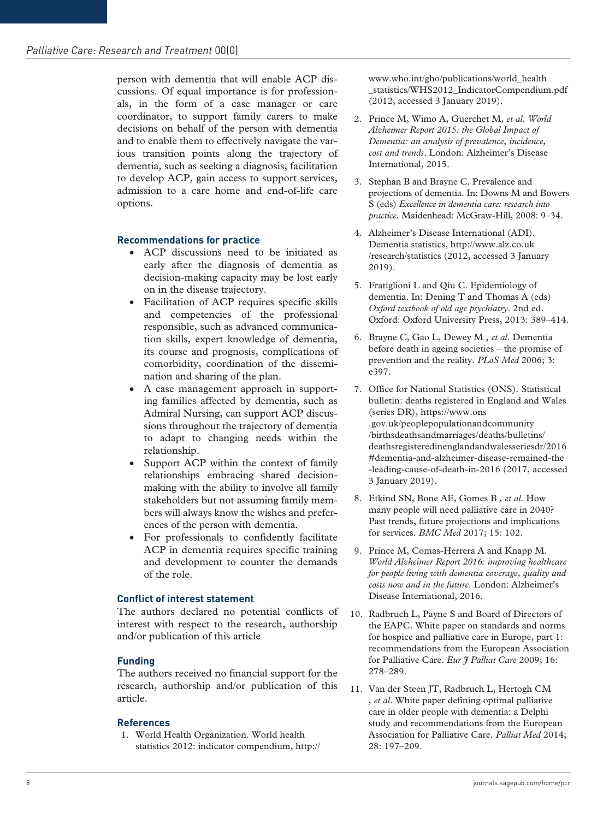person with dementia that will enable ACP discussions. Of equal importance is for professionals, in the form of a case manager or care coordinator, to support family carers to make decisions on behalf of the person with dementia and to enable them to effectively navigate the various transition points along the trajectory of dementia, such as seeking a diagnosis, facilitation to develop ACP, gain access to support services, admission to a care home and end-of-life care options.

# **Recommendations for practice**

- ACP discussions need to be initiated as early after the diagnosis of dementia as decision-making capacity may be lost early on in the disease trajectory.
- Facilitation of ACP requires specific skills and competencies of the professional responsible, such as advanced communication skills, expert knowledge of dementia, its course and prognosis, complications of comorbidity, coordination of the dissemination and sharing of the plan.
- A case management approach in supporting families affected by dementia, such as Admiral Nursing, can support ACP discussions throughout the trajectory of dementia to adapt to changing needs within the relationship.
- Support ACP within the context of family relationships embracing shared decisionmaking with the ability to involve all family stakeholders but not assuming family members will always know the wishes and preferences of the person with dementia.
- For professionals to confidently facilitate ACP in dementia requires specific training and development to counter the demands of the role.

## **Conflict of interest statement**

The authors declared no potential conflicts of interest with respect to the research, authorship and/or publication of this article

# **Funding**

The authors received no financial support for the research, authorship and/or publication of this article.

# **References**

1. World Health Organization. World health statistics 2012: indicator compendium, [http://](http://www.who.int/gho/publications/world_health_statistics/WHS2012_IndicatorCompendium.pdf) [www.who.int/gho/publications/world\\_health](http://www.who.int/gho/publications/world_health_statistics/WHS2012_IndicatorCompendium.pdf) [\\_statistics/WHS2012\\_IndicatorCompendium.pdf](http://www.who.int/gho/publications/world_health_statistics/WHS2012_IndicatorCompendium.pdf)  (2012, accessed 3 January 2019).

- 2. Prince M, Wimo A, Guerchet M*, et al*. *World Alzheimer Report 2015: the Global Impact of Dementia: an analysis of prevalence, incidence, cost and trends*. London: Alzheimer's Disease International, 2015.
- 3. Stephan B and Brayne C. Prevalence and projections of dementia. In: Downs M and Bowers S (eds) *Excellence in dementia care: research into practice*. Maidenhead: McGraw-Hill, 2008: 9–34.
- 4. Alzheimer's Disease International (ADI). Dementia statistics, [http://www.alz.co.uk](http://www.alz.co.uk/research/statistics) [/research/statistics](http://www.alz.co.uk/research/statistics) (2012, accessed 3 January 2019).
- 5. Fratiglioni L and Qiu C. Epidemiology of dementia. In: Dening T and Thomas A (eds) *Oxford textbook of old age psychiatry*. 2nd ed. Oxford: Oxford University Press, 2013: 389–414.
- 6. Brayne C, Gao L, Dewey M *, et al*. Dementia before death in ageing societies – the promise of prevention and the reality. *PLoS Med* 2006; 3: e397.
- 7. Office for National Statistics (ONS). Statistical bulletin: deaths registered in England and Wales (series DR), [https://www.ons](https://www.ons.gov.uk/peoplepopulationandcommunity/birthsdeathsandmarriages/deaths/bulletins/deathsregisteredinenglandandwalesseriesdr/2016#dementia-and-alzheimer-disease-remained-the-leading-cause-of-death-in-2016) [.gov.uk/peoplepopulationandcommunity](https://www.ons.gov.uk/peoplepopulationandcommunity/birthsdeathsandmarriages/deaths/bulletins/deathsregisteredinenglandandwalesseriesdr/2016#dementia-and-alzheimer-disease-remained-the-leading-cause-of-death-in-2016) [/birthsdeathsandmarriages/deaths/bulletins/](https://www.ons.gov.uk/peoplepopulationandcommunity/birthsdeathsandmarriages/deaths/bulletins/deathsregisteredinenglandandwalesseriesdr/2016#dementia-and-alzheimer-disease-remained-the-leading-cause-of-death-in-2016) [deathsregisteredinenglandandwalesseriesdr/2016](https://www.ons.gov.uk/peoplepopulationandcommunity/birthsdeathsandmarriages/deaths/bulletins/deathsregisteredinenglandandwalesseriesdr/2016#dementia-and-alzheimer-disease-remained-the-leading-cause-of-death-in-2016) [#dementia-and-alzheimer-disease-remained-the](https://www.ons.gov.uk/peoplepopulationandcommunity/birthsdeathsandmarriages/deaths/bulletins/deathsregisteredinenglandandwalesseriesdr/2016#dementia-and-alzheimer-disease-remained-the-leading-cause-of-death-in-2016) [-leading-cause-of-death-in-2016](https://www.ons.gov.uk/peoplepopulationandcommunity/birthsdeathsandmarriages/deaths/bulletins/deathsregisteredinenglandandwalesseriesdr/2016#dementia-and-alzheimer-disease-remained-the-leading-cause-of-death-in-2016) (2017, accessed 3 January 2019).
- 8. Etkind SN, Bone AE, Gomes B *, et al*. How many people will need palliative care in 2040? Past trends, future projections and implications for services. *BMC Med* 2017; 15: 102.
- 9. Prince M, Comas-Herrera A and Knapp M. *World Alzheimer Report 2016: improving healthcare for people living with dementia coverage, quality and costs now and in the future*. London: Alzheimer's Disease International, 2016.
- 10. Radbruch L, Payne S and Board of Directors of the EAPC. White paper on standards and norms for hospice and palliative care in Europe, part 1: recommendations from the European Association for Palliative Care. *Eur J Palliat Care* 2009; 16: 278–289.
- 11. Van der Steen JT, Radbruch L, Hertogh CM *, et al*. White paper defining optimal palliative care in older people with dementia: a Delphi study and recommendations from the European Association for Palliative Care. *Palliat Med* 2014; 28: 197–209.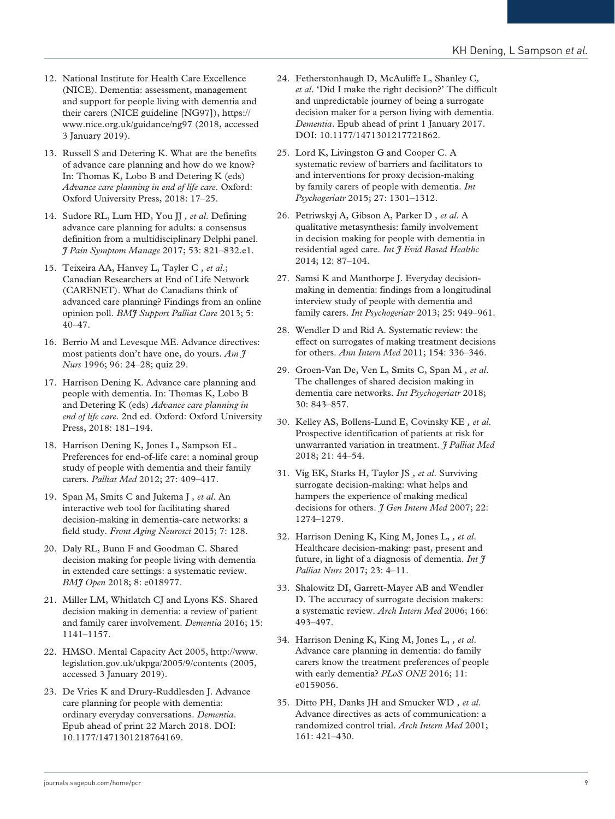- 12. National Institute for Health Care Excellence (NICE). Dementia: assessment, management and support for people living with dementia and their carers (NICE guideline [NG97]), [https://](https://www.nice.org.uk/guidance/ng97) [www.nice.org.uk/guidance/ng97](https://www.nice.org.uk/guidance/ng97) (2018, accessed 3 January 2019).
- 13. Russell S and Detering K. What are the benefits of advance care planning and how do we know? In: Thomas K, Lobo B and Detering K (eds) *Advance care planning in end of life care*. Oxford: Oxford University Press, 2018: 17–25.
- 14. Sudore RL, Lum HD, You JJ *, et al*. Defining advance care planning for adults: a consensus definition from a multidisciplinary Delphi panel. *J Pain Symptom Manage* 2017; 53: 821–832.e1.
- 15. Teixeira AA, Hanvey L, Tayler C *, et al*.; Canadian Researchers at End of Life Network (CARENET). What do Canadians think of advanced care planning? Findings from an online opinion poll. *BMJ Support Palliat Care* 2013; 5: 40–47.
- 16. Berrio M and Levesque ME. Advance directives: most patients don't have one, do yours. *Am J Nurs* 1996; 96: 24–28; quiz 29.
- 17. Harrison Dening K. Advance care planning and people with dementia. In: Thomas K, Lobo B and Detering K (eds) *Advance care planning in end of life care*. 2nd ed. Oxford: Oxford University Press, 2018: 181–194.
- 18. Harrison Dening K, Jones L, Sampson EL. Preferences for end-of-life care: a nominal group study of people with dementia and their family carers. *Palliat Med* 2012; 27: 409–417.
- 19. Span M, Smits C and Jukema J *, et al*. An interactive web tool for facilitating shared decision-making in dementia-care networks: a field study. *Front Aging Neurosci* 2015; 7: 128.
- 20. Daly RL, Bunn F and Goodman C. Shared decision making for people living with dementia in extended care settings: a systematic review. *BMJ Open* 2018; 8: e018977.
- 21. Miller LM, Whitlatch CJ and Lyons KS. Shared decision making in dementia: a review of patient and family carer involvement. *Dementia* 2016; 15: 1141–1157.
- 22. HMSO. Mental Capacity Act 2005, [http://www.](http://www.legislation.gov.uk/ukpga/2005/9/contents) [legislation.gov.uk/ukpga/2005/9/contents](http://www.legislation.gov.uk/ukpga/2005/9/contents) (2005, accessed 3 January 2019).
- 23. De Vries K and Drury-Ruddlesden J. Advance care planning for people with dementia: ordinary everyday conversations. *Dementia*. Epub ahead of print 22 March 2018. DOI: 10.1177/1471301218764169.
- 24. Fetherstonhaugh D, McAuliffe L, Shanley C*, et al*. 'Did I make the right decision?' The difficult and unpredictable journey of being a surrogate decision maker for a person living with dementia. *Dementia*. Epub ahead of print 1 January 2017. DOI: 10.1177/1471301217721862.
- 25. Lord K, Livingston G and Cooper C. A systematic review of barriers and facilitators to and interventions for proxy decision-making by family carers of people with dementia. *Int Psychogeriatr* 2015; 27: 1301–1312.
- 26. Petriwskyj A, Gibson A, Parker D *, et al*. A qualitative metasynthesis: family involvement in decision making for people with dementia in residential aged care. *Int J Evid Based Healthc* 2014; 12: 87–104.
- 27. Samsi K and Manthorpe J. Everyday decisionmaking in dementia: findings from a longitudinal interview study of people with dementia and family carers. *Int Psychogeriatr* 2013; 25: 949–961.
- 28. Wendler D and Rid A. Systematic review: the effect on surrogates of making treatment decisions for others. *Ann Intern Med* 2011; 154: 336–346.
- 29. Groen-Van De, Ven L, Smits C, Span M *, et al*. The challenges of shared decision making in dementia care networks. *Int Psychogeriatr* 2018; 30: 843–857.
- 30. Kelley AS, Bollens-Lund E, Covinsky KE *, et al*. Prospective identification of patients at risk for unwarranted variation in treatment. *J Palliat Med* 2018; 21: 44–54.
- 31. Vig EK, Starks H, Taylor JS *, et al*. Surviving surrogate decision-making: what helps and hampers the experience of making medical decisions for others. *J Gen Intern Med* 2007; 22: 1274–1279.
- 32. Harrison Dening K, King M, Jones L, *, et al*. Healthcare decision-making: past, present and future, in light of a diagnosis of dementia. *Int J Palliat Nurs* 2017; 23: 4–11.
- 33. Shalowitz DI, Garrett-Mayer AB and Wendler D. The accuracy of surrogate decision makers: a systematic review. *Arch Intern Med* 2006; 166: 493–497.
- 34. Harrison Dening K, King M, Jones L, *, et al*. Advance care planning in dementia: do family carers know the treatment preferences of people with early dementia? *PLoS ONE* 2016; 11: e0159056.
- 35. Ditto PH, Danks JH and Smucker WD *, et al*. Advance directives as acts of communication: a randomized control trial. *Arch Intern Med* 2001; 161: 421–430.